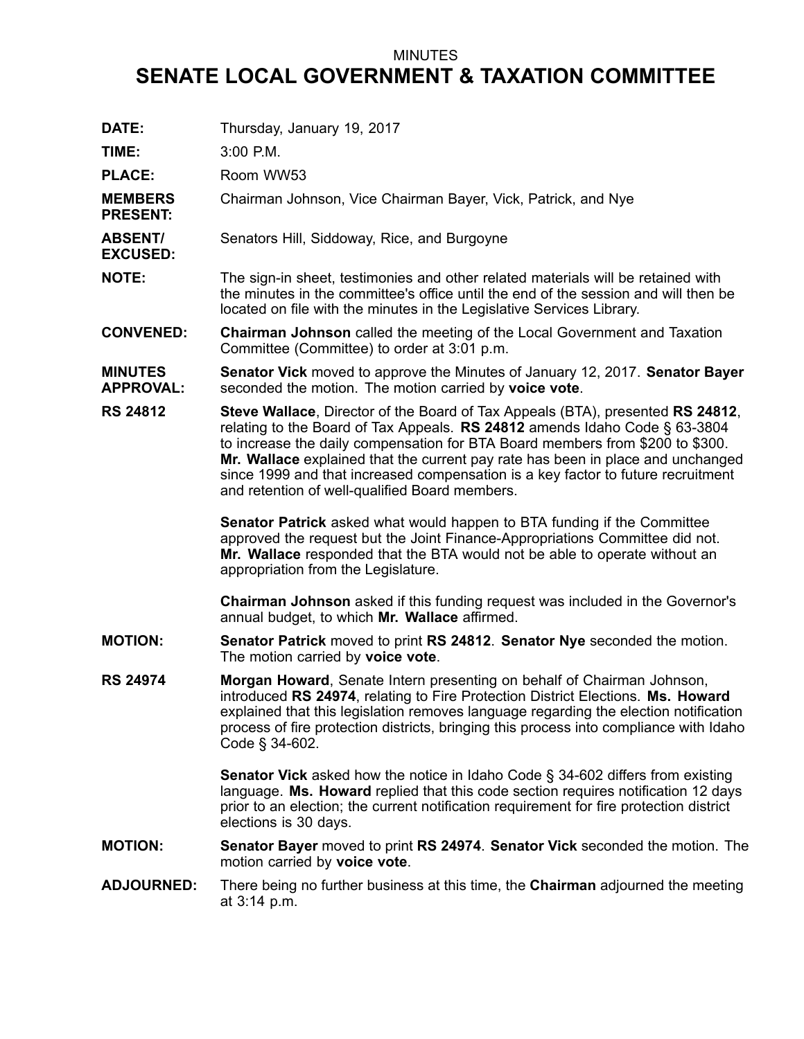## MINUTES

## **SENATE LOCAL GOVERNMENT & TAXATION COMMITTEE**

| DATE:                              | Thursday, January 19, 2017                                                                                                                                                                                                                                                                                                                                                                                                                                                |
|------------------------------------|---------------------------------------------------------------------------------------------------------------------------------------------------------------------------------------------------------------------------------------------------------------------------------------------------------------------------------------------------------------------------------------------------------------------------------------------------------------------------|
| TIME:                              | 3:00 P.M.                                                                                                                                                                                                                                                                                                                                                                                                                                                                 |
| <b>PLACE:</b>                      | Room WW53                                                                                                                                                                                                                                                                                                                                                                                                                                                                 |
| <b>MEMBERS</b><br><b>PRESENT:</b>  | Chairman Johnson, Vice Chairman Bayer, Vick, Patrick, and Nye                                                                                                                                                                                                                                                                                                                                                                                                             |
| <b>ABSENT/</b><br><b>EXCUSED:</b>  | Senators Hill, Siddoway, Rice, and Burgoyne                                                                                                                                                                                                                                                                                                                                                                                                                               |
| <b>NOTE:</b>                       | The sign-in sheet, testimonies and other related materials will be retained with<br>the minutes in the committee's office until the end of the session and will then be<br>located on file with the minutes in the Legislative Services Library.                                                                                                                                                                                                                          |
| <b>CONVENED:</b>                   | <b>Chairman Johnson</b> called the meeting of the Local Government and Taxation<br>Committee (Committee) to order at 3:01 p.m.                                                                                                                                                                                                                                                                                                                                            |
| <b>MINUTES</b><br><b>APPROVAL:</b> | <b>Senator Vick</b> moved to approve the Minutes of January 12, 2017. Senator Bayer<br>seconded the motion. The motion carried by voice vote.                                                                                                                                                                                                                                                                                                                             |
| <b>RS 24812</b>                    | Steve Wallace, Director of the Board of Tax Appeals (BTA), presented RS 24812,<br>relating to the Board of Tax Appeals. RS 24812 amends Idaho Code $\S$ 63-3804<br>to increase the daily compensation for BTA Board members from \$200 to \$300.<br>Mr. Wallace explained that the current pay rate has been in place and unchanged<br>since 1999 and that increased compensation is a key factor to future recruitment<br>and retention of well-qualified Board members. |
|                                    | Senator Patrick asked what would happen to BTA funding if the Committee<br>approved the request but the Joint Finance-Appropriations Committee did not.<br>Mr. Wallace responded that the BTA would not be able to operate without an<br>appropriation from the Legislature.                                                                                                                                                                                              |
|                                    | Chairman Johnson asked if this funding request was included in the Governor's<br>annual budget, to which Mr. Wallace affirmed.                                                                                                                                                                                                                                                                                                                                            |
| <b>MOTION:</b>                     | Senator Patrick moved to print RS 24812. Senator Nye seconded the motion.<br>The motion carried by voice vote.                                                                                                                                                                                                                                                                                                                                                            |
| <b>RS 24974</b>                    | Morgan Howard, Senate Intern presenting on behalf of Chairman Johnson,<br>introduced RS 24974, relating to Fire Protection District Elections. Ms. Howard<br>explained that this legislation removes language regarding the election notification<br>process of fire protection districts, bringing this process into compliance with Idaho<br>Code § 34-602.                                                                                                             |
|                                    | <b>Senator Vick</b> asked how the notice in Idaho Code § 34-602 differs from existing<br>language. Ms. Howard replied that this code section requires notification 12 days<br>prior to an election; the current notification requirement for fire protection district<br>elections is 30 days.                                                                                                                                                                            |
| <b>MOTION:</b>                     | Senator Bayer moved to print RS 24974. Senator Vick seconded the motion. The<br>motion carried by voice vote.                                                                                                                                                                                                                                                                                                                                                             |
| <b>ADJOURNED:</b>                  | There being no further business at this time, the <b>Chairman</b> adjourned the meeting<br>at 3:14 p.m.                                                                                                                                                                                                                                                                                                                                                                   |